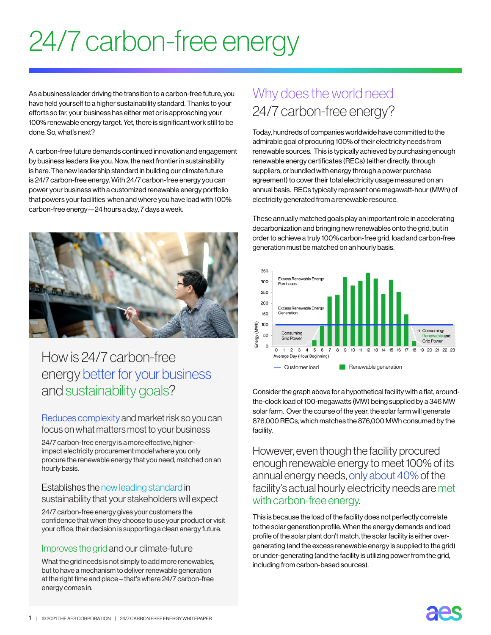# 24/7 carbon-free energy

As a business leader driving the transition to a carbon-free future, you have held yourself to a higher sustainability standard. Thanks to your efforts so far, your business has either met or is approaching your 100% renewable energy target. Yet, there is significant work still to be done. So, what's next?

A carbon-free future demands continued innovation and engagement by business leaders like you. Now, the next frontier in sustainability is here. The new leadership standard in building our climate future is 24/7 carbon-free energy. With 24/7 carbon-free energy you can power your business with a customized renewable energy portfolio that powers your facilities when and where you have load with 100% carbon-free energy—24 hours a day, 7 days a week.



## How is 24/7 carbon-free energy better for your business and sustainability goals?

#### Reduces complexity and market risk so you can focus on what matters most to your business

24/7 carbon-free energy is a more effective, higherimpact electricity procurement model where you only procure the renewable energy that you need, matched on an hourly basis.

#### Establishes the new leading standard in sustainability that your stakeholders will expect

24/7 carbon-free energy gives your customers the confidence that when they choose to use your product or visit your office, their decision is supporting a clean energy future.

#### Improves the grid and our climate-future

What the grid needs is not simply to add more renewables, but to have a mechanism to deliver renewable generation at the right time and place – that's where 24/7 carbon-free energy comes in.

## Why does the world need 24/7 carbon-free energy?

Today, hundreds of companies worldwide have committed to the admirable goal of procuring 100% of their electricity needs from renewable sources. This is typically achieved by purchasing enough renewable energy certificates (RECs) (either directly, through suppliers, or bundled with energy through a power purchase agreement) to cover their total electricity usage measured on an annual basis. RECs typically represent one megawatt-hour (MWh) of electricity generated from a renewable resource.

These annually matched goals play an important role in accelerating decarbonization and bringing new renewables onto the grid, but in order to achieve a truly 100% carbon-free grid, load and carbon-free generation must be matched on an hourly basis.



Consider the graph above for a hypothetical facility with a flat, aroundthe-clock load of 100-megawatts (MW) being supplied by a 346 MW solar farm. Over the course of the year, the solar farm will generate 876,000 RECs, which matches the 876,000 MWh consumed by the facility.

However, even though the facility procured enough renewable energy to meet 100% of its annual energy needs, only about 40% of the facility's actual hourly electricity needs are met with carbon-free energy.

This is because the load of the facility does not perfectly correlate to the solar generation profile. When the energy demands and load profile of the solar plant don't match, the solar facility is either overgenerating (and the excess renewable energy is supplied to the grid) or under-generating (and the facility is utilizing power from the grid, including from carbon-based sources).